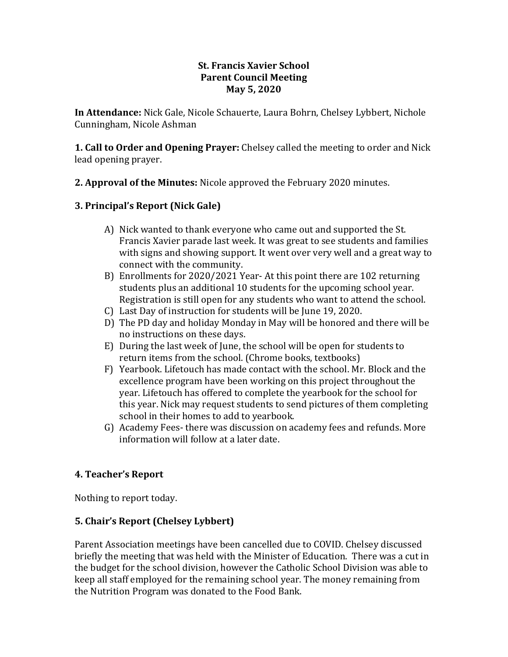#### **St. Francis Xavier School Parent Council Meeting May 5, 2020**

**In Attendance:** Nick Gale, Nicole Schauerte, Laura Bohrn, Chelsey Lybbert, Nichole Cunningham, Nicole Ashman

**1. Call to Order and Opening Prayer:** Chelsey called the meeting to order and Nick lead opening prayer.

**2. Approval of the Minutes:** Nicole approved the February 2020 minutes.

# **3. Principal's Report (Nick Gale)**

- A) Nick wanted to thank everyone who came out and supported the St. Francis Xavier parade last week. It was great to see students and families with signs and showing support. It went over very well and a great way to connect with the community.
- B) Enrollments for 2020/2021 Year- At this point there are 102 returning students plus an additional 10 students for the upcoming school year. Registration is still open for any students who want to attend the school.
- C) Last Day of instruction for students will be June 19, 2020.
- D) The PD day and holiday Monday in May will be honored and there will be no instructions on these days.
- E) During the last week of June, the school will be open for students to return items from the school. (Chrome books, textbooks)
- F) Yearbook. Lifetouch has made contact with the school. Mr. Block and the excellence program have been working on this project throughout the year. Lifetouch has offered to complete the yearbook for the school for this year. Nick may request students to send pictures of them completing school in their homes to add to yearbook.
- G) Academy Fees- there was discussion on academy fees and refunds. More information will follow at a later date.

### **4. Teacher's Report**

Nothing to report today.

### **5. Chair's Report (Chelsey Lybbert)**

Parent Association meetings have been cancelled due to COVID. Chelsey discussed briefly the meeting that was held with the Minister of Education. There was a cut in the budget for the school division, however the Catholic School Division was able to keep all staff employed for the remaining school year. The money remaining from the Nutrition Program was donated to the Food Bank.